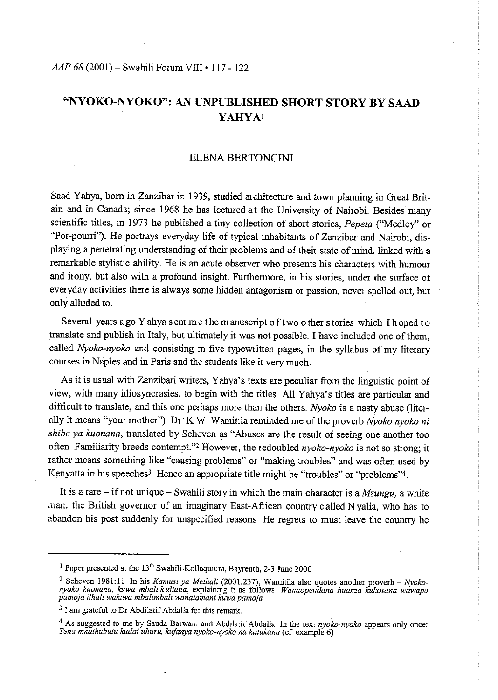# *AAP 68* (2001)- Swahili Fmum VIII • 117- 122

# **"NYOKO-NYOKO": AN UNPUBLISHED SHORT STORY BY SAAD YAHYAI**

# ELENA BERTONCINI

Saad Yahya, born in Zanzibar in 1939, studied architecture and town planning in Great Britain and in Canada; since 1968 he has lectured at the University of Nairobi. Besides many scientific titles, in 1973 he published a tiny collection of short stories, *Pepeta* ("Medley" or "Pot-pourri"}. He portrays everyday life of typical inhabitants of Zanzibar and Nairobi, dis<sup>p</sup>laying a penetrating understanding of their problems and of their state of mind, linked with a remarkable stylistic ability. He is an acute observer who presents his characters with humour and irony, but also with a profound insight. Furthermore, in his stories, under the surface of everyday activities there is always some hidden antagonism or passion, never spelled out, but only alluded to.

Several years ago Y ahya sent me the manuscript of two other stories which I hoped to translate and publish in Italy, but ultimately it was not possible .. I have included one of them, called *Nyoko-nyoko* and consisting in five typewritten pages, in the syllabus of my literary courses in Naples and in Paris and the students like it very much

As it is usual with Zanzibari writers, Yahya's texts are peculiar from the linguistic point of view, with many idiosyncrasies, to begin with the titles. All Yahya's titles are particular and difficult to translate, and this one perhaps more than the others *Nyoko* is a nasty abuse (literally it means "your mother"). Dr. K.W. Wamitila reminded me of the proverb *Nyoko nyoko ni shibe ya kuonana*, translated by Scheven as "Abuses are the result of seeing one another too often. Familiarity breeds contempt."<sup>2</sup> However, the redoubled *nyoko-nyoko* is not so strong; it rather means something like "causing problems" or "making troubles" and was often used by Kenyatta in his speeches<sup>3</sup>. Hence an appropriate title might be "troubles" or "problems"<sup>4</sup>.

It is a rare - if not unique - Swahili story in which the main character is a  $Mzungu$ , a white man: the British governor of an imaginary East-Aftican country called N yalia, who has to abandon his post suddenly for unspecified reasons. He regrets to must leave the country he

<sup>&</sup>lt;sup>1</sup> Paper presented at the 13<sup>th</sup> Swahili-Kolloquium, Bayreuth, 2-3 June 2000.

<sup>&</sup>lt;sup>2</sup> Scheven 1981:11. In his Kamusi ya Methali (2001:237), Wamitila also quotes another proverb – Nyokonyoko kuonana, kuwa mbali kuliana, explaining it as follows: Wanaopendana huanza kukosana wawapo pamoja ilhali wakiwa m

<sup>&</sup>lt;sup>3</sup> I am grateful to Dr Abdilatif Abdalla for this remark.

<sup>&</sup>lt;sup>4</sup> As suggested to me by Sauda Barwani and Abdilatif Abdalla. In the text *nyoko-nyoko* appears only once: *Ten a mnathubutu kudai uhuru, kufanya nyoko-nyoko na kutukana* (cf. example 6)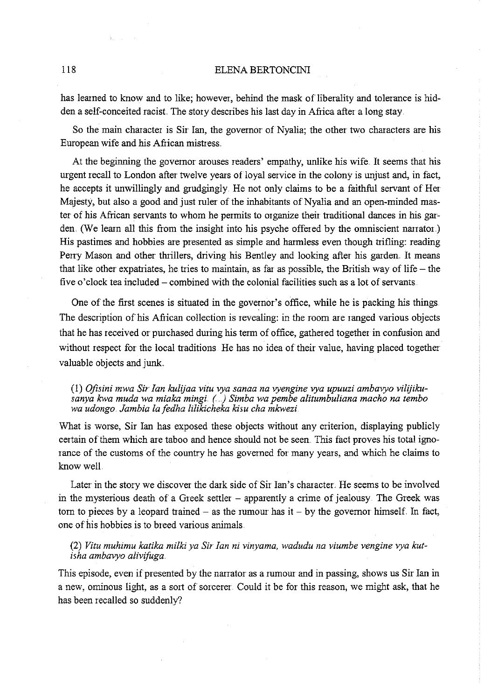#### 118 ELENA BERTONCINI

has learned to know and to like; however, behind the mask of liberality and tolerance is hidden a self-conceited racist. The story describes his last day in Africa after a long stay.

So the main character is Sir Ian, the governor of Nyalia; the other two characters are his European wife and his African mistress ..

At the beginning the governor arouses readers' empathy, unlike his wife. It seems that his urgent recall to London after twelve years of loyal service in the colony is unjust and, in fact, he accepts it unwillingly and grudgingly. He not only claims to be a faithful servant of Her Majesty, but also a good and just ruler of the inhabitants of Nyalia and an open-minded master of his African servants to whom he permits to organize their traditional dances in his garden. (We learn all this from the insight into his psyche offered by the omniscient narrator.) His pastimes and hobbies are presented as simple and harmless even though trifling: reading Perry Mason and other thrillers, driving his Bentley and looking after his garden. It means that like other expatriates, he tries to maintain, as far as possible, the British way of life  $-$  the five o'clock tea included – combined with the colonial facilities such as a lot of servants.

One of the first scenes is situated in the governor's office, while he is packing his things The description of his African collection is revealing: in the room are ranged various objects that he has received or purchased during his term of office, gathered together in confusion and without respect for the local traditions He has no idea of their value, having placed together valuable objects and junk.

### (1) *Ofisini mwa Sir fan kulijaa vitu rya sanaa na ryengine rya upuuzi ambaryo vilijikusanya kwa muda wa miaka mingi.. (..) Simba wa pembe alitumbuliana macho na tembo wa udongo. Jambia la fedha lilikicheka kisu cha mkwezi*

What is worse, Sir Ian has exposed these objects without any criterion, displaying publicly certain of them which are taboo and hence should not be seen. This fact proves his total ignorance of the customs of the country he has governed for many years, and which he claims to know well

Later in the story we discover the dark side of Sir Ian's character. He seems to be involved in the mysterious death of a Greek settler  $-$  apparently a crime of jealousy. The Greek was torn to pieces by a leopard trained  $-$  as the rumour has it  $-$  by the governor himself. In fact, one of his hobbies is to breed various animals.

(2) Vitu muhimu katika milki ya Sir Ian ni vinyama, wadudu na viumbe vengine vya kut*isha ambaryo alivifuga.* 

This episode, even if presented by the narrator as a rumour and in passing, shows us Sir Ian in a new, ominous light, as a sort of sorcerer Could it be for this reason, we might ask, that he has been recalled so suddenly?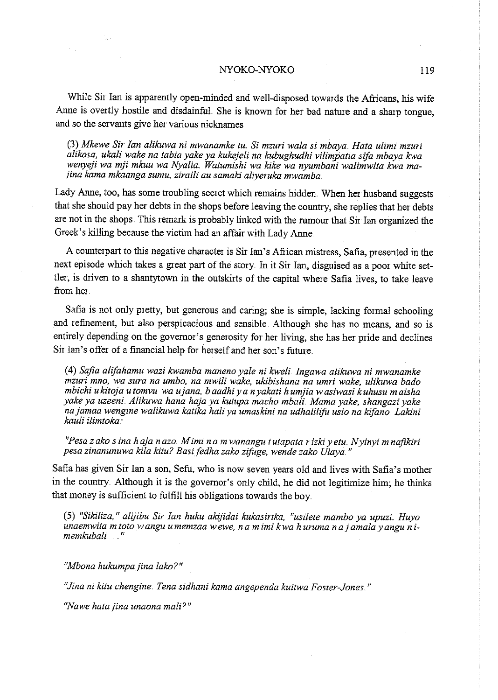#### NYOKO-NYOKO 119

While Sir Ian is apparently open-minded and well-disposed towards the Africans, his wife Anne is overtly hostile and disdainful. She is known for her bad nature and a sharp tongue, and so the servants give her various nicknames

(3) *Mkewe Sir fan alikuwa ni mwanamke tu. Si mzuri wala si mbaya. Hata ulimi mzuri alikosa, ukali wake na tabia yake ya kukejeli na kubughudhi vilimyatia sifa mbaya kwa wenyeji wa* lf!ii *mkuu wa Nyalia. Watumishi wa kike wa nyumbani walimwita kwa ma- ;ina kama mkaanga sumu, ziraili au samaki aliyeruka mwamba.* 

Lady Anne, too, has some troubling secret which remains hidden When her husband suggests that she should pay her debts in the shops before leaving the country, she replies that her debts are not in the shops. This remark is probably linked with the rumour that Sir Ian organized the Greek's killing because the victim had an affair with Lady Anne

A counterpart to this negative character is Sir Ian's African mistress, Safia, presented in the next episode which takes a great part of the story In it Sir Ian, disguised as a poor white settler, is driven to a shantytown in the outskirts of the capital where Safia lives, to take leave from her

Safia is not only pretty, but generous and caring; she is simple, lacking formal schooling and refinement, but also perspicacious and sensible Although she has no means, and so is entirely depending on the governor's generosity for her living, she has her pride and declines Sir Ian's offer of a financial help for herself and her son's future

(4) *Safia alifahamu wazi kwamba maneno yale ni kweli. fngawa alikuwa* ni *mwanamke mzuri mno, wa sura na umbo, na mwili wake, ukibishana na umri wake, ulikuwa bado mbichi ukitoja utomvu wa ujana, baadhiya nyakati humjia wasiwasi kuhusu maisha yake ya uzeeni.. Alikuwa hana haja ya kutupa macho mbali.. Mama yake, shangazi yake najamaa wengine walikuwa katika hali ya umaskini na udhalilifu usio na kifano. Lakini kauli ilimtoka .. ·* 

*"Pesa zako s ina haja nazo. Mimi na mwanangu tutapata ritki yetu .. Nyinyi mnafikiri pesa zinanunuwa kila kitu? Basifedha zako zifuge, wende zako Ulaya."* 

Safia has given Sir Ian a son, Sefu, who is now seven years old and lives with Safia's mother in the country. Although it is the governor's only child, he did not legitimize him; he thinks that money is sufficient to fulfill his obligations towards the boy.

(5) *"Sikiliza," alijibu Sir fan huku akijidai kukasirika, "usilete mambo ya upuzi. Huyo unaemwita m toto wangu umemzaa wewe, na mimi kwa h uruma najamalayangu nimemkubali.* "

*"Mbona hukumpajina lako?"* 

*"Jina ni kitu chengine. Tena sidhani kama angependa kuitwa Foster-Jones."* 

*"Nawe hata jina unaona mali?"*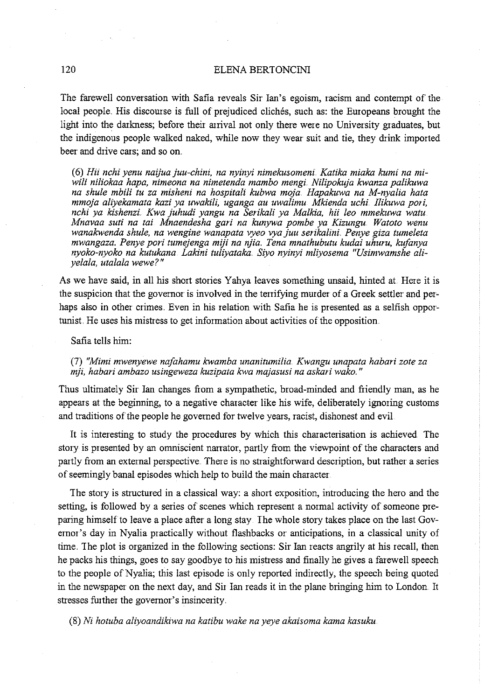## 120 ELENA BERTONCINI

The farewell conversation with Safia reveals Sir Ian's egoism, racism and contempt of the local people. His discourse is full of prejudiced cliches, such as: the Europeans brought the light into the darkness; before their arrival not only there were no University graduates, but the indigenous people walked naked, while now they wear suit and tie, they drink imported beer and drive cars; and so on.

(6) *Hii nchi yenu naijuajuu-chini, na nyinyi nimekusomeni. Katika miaka kumi na miwili niliokaa hapa, nimeona na nimetenda mambo mengi. Nilipokuja kwanza palikuwa na shule mbili tu za misheni na hospitali kubwa moja. Hapakuwa na M-nyalia hata mmoja aliyekamata kazi ya uwakili, uganga au uwalimu Mkienda uchi Ilikuwa pori, nchi ya kishenzi.. Kwa juhudi yangu na Serikali ya Malkia, hii Ieo mmekuwa watu Mnavaa suti na tai Mnaendesha gari na kunywa pombe ya Kizungu Watoto wenu wanakwenda shule, na wengine wanapata ryeo rya juu serikalini. Penye giza tumeleta mwangaza. Penye pori tumejenga miji na njia. Tena mnathubutu kudai uhuru, kufanya*  nyoko-nyoko na kutukana Lakini tuliyataka. Siyo nyinyi mliyosema "Usimwamshe ali*yelala, uta/ala wewe?"* 

As we have said, in all his short stories Y ahya leaves something unsaid, hinted at Here it is the suspicion that the governor is involved in the terrifying murder of a Greek settler and perhaps also in other crimes. Even in his relation with Safia he is presented as a selfish opportunist He uses his mistress to get information about activities of the opposition.

Safia tells him:

(7) *"Mimi mwenyewe nafahamu kwamba unanitumilia Kwangu unapata habari zote za n'ifi, habari ambazo usingeweza kuzipata kwa majasusi na askari wako."* 

Thus ultimately Sir Ian changes fiom a sympathetic, broad-minded and friendly man, as he appears at the beginning, to a negative character like his wife, deliberately ignoring customs and traditions of the people he governed for twelve years, racist, dishonest and evil

It is interesting to study the procedures by which this characterisation is achieved. The story is presented by an omniscient narrator, partly from the viewpoint of the characters and partly from an external perspective. There is no straightforward description, but rather a series of seemingly banal episodes which help to build the main character.

The story is structured in a classical way: a short exposition, introducing the hero and the setting, is followed by a series of scenes which represent a normal activity of someone preparing himself to leave a place after a long stay. The whole story takes place on the last Governor's day in Nyalia practically without flashbacks or anticipations, in a classical unity of time. The plot is organized in the following sections: Sir Ian reacts angrily at his recall, then he packs his things, goes to say goodbye to his mistress and finally he gives a farewell speech to the people of Nyalia; this last episode is only reported indirectly, the speech being quoted in the newspaper on the next day, and Sir Ian reads it in the plane bringing him to London. It stresses further the governor's insinceiity.

(8) *Ni hotuba aliyoandikiwa na katibu wake na yeye akaisoma kama kasuku*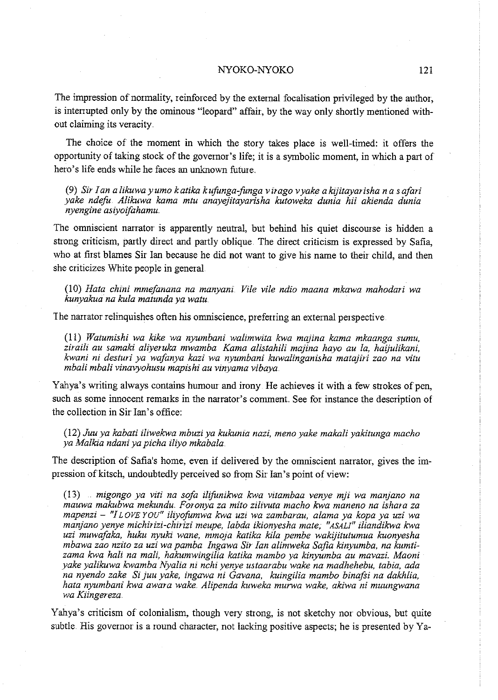#### NYOKO-NYOKO 121

The impression of normality, reinforced by the external focalisation privileged by the author, is intenupted only by the ominous "leopard" affair, by the way only shortly mentioned without claiming its veracity

The choice of the moment in which the story takes place is well-timed: it offers the opportunity of taking stock of the governor's life; it is a symbolic moment, in which a part of hero's life ends while he faces an unknown future.

(9) Sir *I an alikuwayumo katika kufunga-funga virago vyake akijitayarisha na safari yake ndefu Alikuwa kama mtu anayejitayarisha kutoweka dunia hii akienda dunia nyengine asiyoifahamu* 

The omniscient narrator is apparently neutral, but behind his quiet discourse is hidden a strong criticism, partly direct and partly oblique The direct criticism is expressed by Safia, who at first blames Sir Ian because he did not want to give his name to their child, and then she criticizes White people in general

(10) *Hata chini mmefanana na manyani. Vile vile ndio maana mkawa mahodari wa kunyakua na kula matunda ya watu.* 

The narrator relinquishes often his omniscience, prefening an external perspective

(11) *Watumishi wa kike wa nyumbani walimwita kwa majina kama mkaanga sumu, ziraili au samaki aliyeruka mwamba Kama alistahili majina hayo au la, haijulikani, kwani* ni *desturi ya wafanya kazi wa nyumbani kuwalinganisha matajiri zao na vitu mbali mbali vinavyohusu mapishi au vinyama vibaya* 

Yahya's writing always contains humour and irony. He achieves it with a few strokes of pen, such as some innocent remarks in the narrator's comment. See for instance the description of the collection in Sir Ian's office:

(12) *Juu ya kabati iliwekwa mbuzi ya kukunia nazi, meno yake makali yakitunga macho ya Malkia ndani ya picha iliyo mkabala.* 

The description of Safia's home, even if delivered by the omniscient narrator, gives the impression of kitsch, undoubtedly perceived so from Sir Ian's point of view:

(13) *migongo ya viti na sofa ilifunikwa kwa vitambaa venye mji wa manjano na mauwa makubwa mekundu. Foronya za mito zilivuta macho kwa maneno na ishara za mapenzi- "I LOVE YOU" iliyofumwa kwa uzi wa zambarau, alama ya kopa ya uzi wa manjano yenye michirizi-chirizi meupe, labda ikionyesha mate, "ASAL!" iliandikwa kwa uzi muwafaka, huku nyuki wane, mmoja katika kila pembe wakijitutumua kuonyesha mbawa zao nzito za uzi wa pamba lngawa Sir fan alimweka Safia kinyumba, na kumtl*zama kwa hali na mali, hakumwingilia katika mambo ya kinyumba au mavazi. Maoni *yake yalikuwa kwamba Nyalia* ni *nchi yenye ustaarabu wake na madhehebu, tabia, ada na nyendo zake Si juu yake, ingawa ni Gavana, kuingilia mambo binafti na dakhlia, hata nyumbani kwa awara wake. Alipenda kuweka murwa wake, akiwa ni muungwana wa Kiingereza.* 

Yahya's criticism of colonialism, though very strong, is not sketchy nor obvious, but quite subtle. His governor is a round character, not lacking positive aspects; he is presented by Ya-